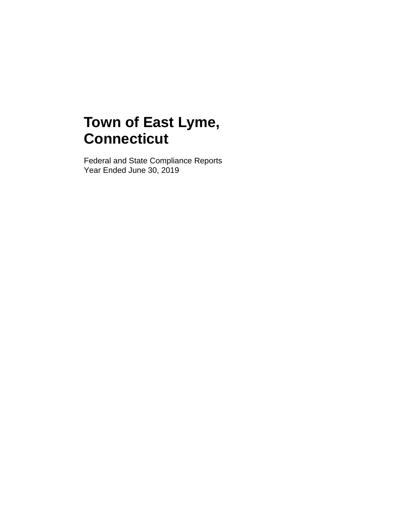Federal and State Compliance Reports Year Ended June 30, 2019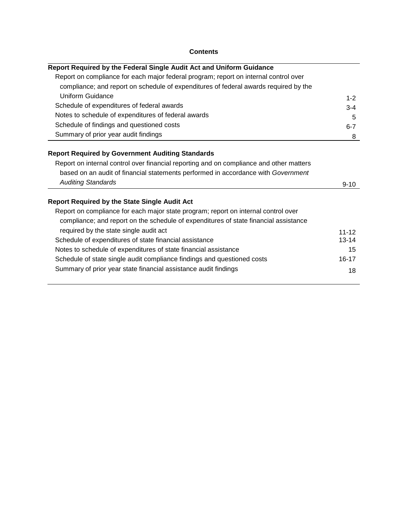## **Contents**

| Report Required by the Federal Single Audit Act and Uniform Guidance                    |           |
|-----------------------------------------------------------------------------------------|-----------|
| Report on compliance for each major federal program; report on internal control over    |           |
| compliance; and report on schedule of expenditures of federal awards required by the    |           |
| Uniform Guidance                                                                        | $1 - 2$   |
| Schedule of expenditures of federal awards                                              | $3 - 4$   |
| Notes to schedule of expenditures of federal awards                                     | 5         |
| Schedule of findings and questioned costs                                               | $6 - 7$   |
| Summary of prior year audit findings                                                    | 8         |
|                                                                                         |           |
| <b>Report Required by Government Auditing Standards</b>                                 |           |
| Report on internal control over financial reporting and on compliance and other matters |           |
| based on an audit of financial statements performed in accordance with Government       |           |
| <b>Auditing Standards</b>                                                               | $9 - 10$  |
| <b>Report Required by the State Single Audit Act</b>                                    |           |
| Report on compliance for each major state program; report on internal control over      |           |
| compliance; and report on the schedule of expenditures of state financial assistance    |           |
| required by the state single audit act                                                  | $11 - 12$ |
| Schedule of expenditures of state financial assistance                                  | $13 - 14$ |
| Notes to schedule of expenditures of state financial assistance                         | 15        |
| Schedule of state single audit compliance findings and questioned costs                 | $16 - 17$ |
| Summary of prior year state financial assistance audit findings                         | 18        |
|                                                                                         |           |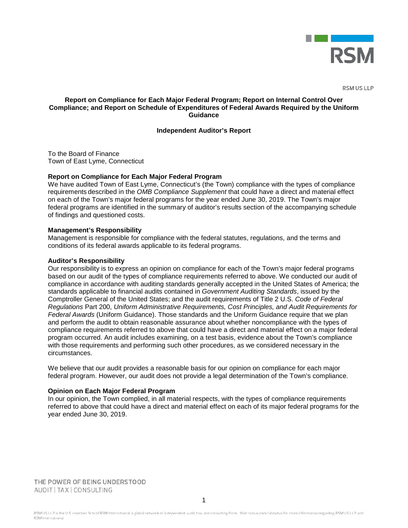

#### **Report on Compliance for Each Major Federal Program; Report on Internal Control Over Compliance; and Report on Schedule of Expenditures of Federal Awards Required by the Uniform Guidance**

#### **Independent Auditor's Report**

To the Board of Finance Town of East Lyme, Connecticut

#### **Report on Compliance for Each Major Federal Program**

We have audited Town of East Lyme, Connecticut's (the Town) compliance with the types of compliance requirements described in the *OMB Compliance Supplement* that could have a direct and material effect on each of the Town's major federal programs for the year ended June 30, 2019. The Town's major federal programs are identified in the summary of auditor's results section of the accompanying schedule of findings and questioned costs.

#### **Management's Responsibility**

Management is responsible for compliance with the federal statutes, regulations, and the terms and conditions of its federal awards applicable to its federal programs.

#### **Auditor's Responsibility**

Our responsibility is to express an opinion on compliance for each of the Town's major federal programs based on our audit of the types of compliance requirements referred to above. We conducted our audit of compliance in accordance with auditing standards generally accepted in the United States of America; the standards applicable to financial audits contained in *Government Auditing Standards*, issued by the Comptroller General of the United States; and the audit requirements of Title 2 U.S. *Code of Federal Regulations* Part 200, *Uniform Administrative Requirements, Cost Principles, and Audit Requirements for Federal Awards* (Uniform Guidance). Those standards and the Uniform Guidance require that we plan and perform the audit to obtain reasonable assurance about whether noncompliance with the types of compliance requirements referred to above that could have a direct and material effect on a major federal program occurred. An audit includes examining, on a test basis, evidence about the Town's compliance with those requirements and performing such other procedures, as we considered necessary in the circumstances.

We believe that our audit provides a reasonable basis for our opinion on compliance for each major federal program. However, our audit does not provide a legal determination of the Town's compliance.

#### **Opinion on Each Major Federal Program**

In our opinion, the Town complied, in all material respects, with the types of compliance requirements referred to above that could have a direct and material effect on each of its major federal programs for the year ended June 30, 2019.

THE POWER OF BEING UNDERSTOOD AUDIT | TAX | CONSULTING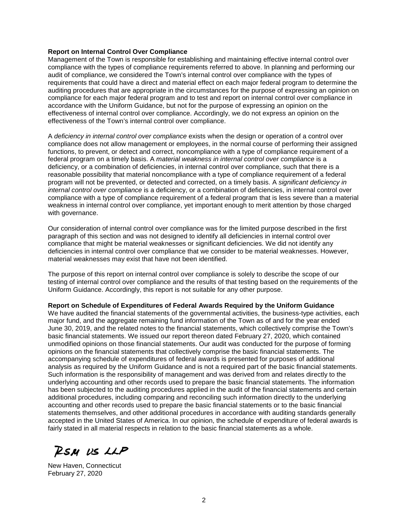#### **Report on Internal Control Over Compliance**

Management of the Town is responsible for establishing and maintaining effective internal control over compliance with the types of compliance requirements referred to above. In planning and performing our audit of compliance, we considered the Town's internal control over compliance with the types of requirements that could have a direct and material effect on each major federal program to determine the auditing procedures that are appropriate in the circumstances for the purpose of expressing an opinion on compliance for each major federal program and to test and report on internal control over compliance in accordance with the Uniform Guidance, but not for the purpose of expressing an opinion on the effectiveness of internal control over compliance. Accordingly, we do not express an opinion on the effectiveness of the Town's internal control over compliance.

A *deficiency in internal control over compliance* exists when the design or operation of a control over compliance does not allow management or employees, in the normal course of performing their assigned functions, to prevent, or detect and correct, noncompliance with a type of compliance requirement of a federal program on a timely basis. A *material weakness in internal control over compliance* is a deficiency, or a combination of deficiencies, in internal control over compliance, such that there is a reasonable possibility that material noncompliance with a type of compliance requirement of a federal program will not be prevented, or detected and corrected, on a timely basis. A *significant deficiency in internal control over compliance* is a deficiency, or a combination of deficiencies, in internal control over compliance with a type of compliance requirement of a federal program that is less severe than a material weakness in internal control over compliance, yet important enough to merit attention by those charged with governance.

Our consideration of internal control over compliance was for the limited purpose described in the first paragraph of this section and was not designed to identify all deficiencies in internal control over compliance that might be material weaknesses or significant deficiencies. We did not identify any deficiencies in internal control over compliance that we consider to be material weaknesses. However, material weaknesses may exist that have not been identified.

The purpose of this report on internal control over compliance is solely to describe the scope of our testing of internal control over compliance and the results of that testing based on the requirements of the Uniform Guidance. Accordingly, this report is not suitable for any other purpose.

#### **Report on Schedule of Expenditures of Federal Awards Required by the Uniform Guidance**

We have audited the financial statements of the governmental activities, the business-type activities, each major fund, and the aggregate remaining fund information of the Town as of and for the year ended June 30, 2019, and the related notes to the financial statements, which collectively comprise the Town's basic financial statements. We issued our report thereon dated February 27, 2020, which contained unmodified opinions on those financial statements. Our audit was conducted for the purpose of forming opinions on the financial statements that collectively comprise the basic financial statements. The accompanying schedule of expenditures of federal awards is presented for purposes of additional analysis as required by the Uniform Guidance and is not a required part of the basic financial statements. Such information is the responsibility of management and was derived from and relates directly to the underlying accounting and other records used to prepare the basic financial statements. The information has been subjected to the auditing procedures applied in the audit of the financial statements and certain additional procedures, including comparing and reconciling such information directly to the underlying accounting and other records used to prepare the basic financial statements or to the basic financial statements themselves, and other additional procedures in accordance with auditing standards generally accepted in the United States of America. In our opinion, the schedule of expenditure of federal awards is fairly stated in all material respects in relation to the basic financial statements as a whole.

**RSM US LLP** 

New Haven, Connecticut February 27, 2020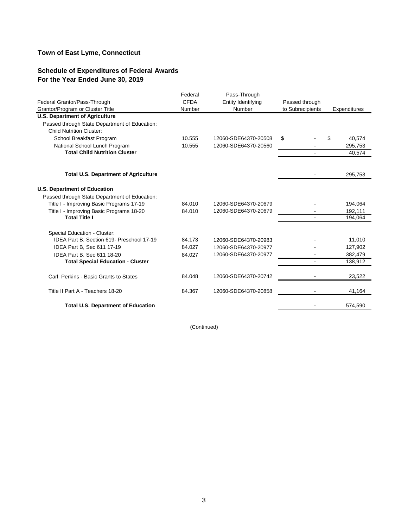## **Schedule of Expenditures of Federal Awards For the Year Ended June 30, 2019**

| Federal Grantor/Pass-Through<br>Grantor/Program or Cluster Title | Federal<br><b>CFDA</b><br>Number | Pass-Through<br>Entity Identifying<br>Number | Passed through<br>to Subrecipients | Expenditures |  |  |
|------------------------------------------------------------------|----------------------------------|----------------------------------------------|------------------------------------|--------------|--|--|
| <b>U.S. Department of Agriculture</b>                            |                                  |                                              |                                    |              |  |  |
| Passed through State Department of Education:                    |                                  |                                              |                                    |              |  |  |
| <b>Child Nutrition Cluster:</b>                                  |                                  |                                              |                                    |              |  |  |
| School Breakfast Program                                         | 10.555                           | 12060-SDE64370-20508                         | \$                                 | S<br>40,574  |  |  |
| National School Lunch Program                                    | 10.555                           | 12060-SDE64370-20560                         |                                    | 295,753      |  |  |
| <b>Total Child Nutrition Cluster</b>                             |                                  |                                              |                                    | 40,574       |  |  |
|                                                                  |                                  |                                              |                                    |              |  |  |
| <b>Total U.S. Department of Agriculture</b>                      |                                  |                                              |                                    | 295,753      |  |  |
| <b>U.S. Department of Education</b>                              |                                  |                                              |                                    |              |  |  |
| Passed through State Department of Education:                    |                                  |                                              |                                    |              |  |  |
| Title I - Improving Basic Programs 17-19                         | 84.010                           | 12060-SDE64370-20679                         |                                    | 194,064      |  |  |
| Title I - Improving Basic Programs 18-20                         | 84.010                           | 12060-SDE64370-20679                         |                                    | 192,111      |  |  |
| <b>Total Title I</b>                                             |                                  |                                              |                                    | 194,064      |  |  |
| Special Education - Cluster:                                     |                                  |                                              |                                    |              |  |  |
| IDEA Part B, Section 619- Preschool 17-19                        | 84.173                           | 12060-SDE64370-20983                         |                                    | 11,010       |  |  |
| IDEA Part B, Sec 611 17-19                                       | 84.027                           | 12060-SDE64370-20977                         |                                    | 127,902      |  |  |
| IDEA Part B, Sec 611 18-20                                       | 84.027                           | 12060-SDE64370-20977                         |                                    | 382.479      |  |  |
| <b>Total Special Education - Cluster</b>                         |                                  |                                              |                                    | 138,912      |  |  |
| Carl Perkins - Basic Grants to States                            | 84.048                           | 12060-SDE64370-20742                         |                                    | 23,522       |  |  |
| Title II Part A - Teachers 18-20                                 | 84.367                           | 12060-SDE64370-20858                         |                                    | 41,164       |  |  |
| <b>Total U.S. Department of Education</b>                        |                                  |                                              |                                    | 574,590      |  |  |

(Continued)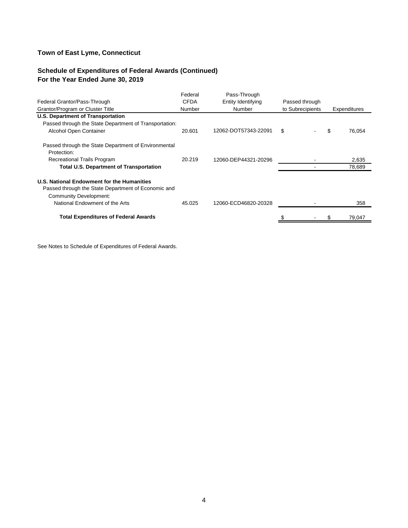## **Schedule of Expenditures of Federal Awards (Continued) For the Year Ended June 30, 2019**

|                                                                                                                                    | Federal     | Pass-Through         |   |                  |    |              |
|------------------------------------------------------------------------------------------------------------------------------------|-------------|----------------------|---|------------------|----|--------------|
| Federal Grantor/Pass-Through                                                                                                       | <b>CFDA</b> | Entity Identifying   |   | Passed through   |    |              |
| Grantor/Program or Cluster Title                                                                                                   | Number      | Number               |   | to Subrecipients |    | Expenditures |
| U.S. Department of Transportation                                                                                                  |             |                      |   |                  |    |              |
| Passed through the State Department of Transportation:                                                                             |             |                      |   |                  |    |              |
| Alcohol Open Container                                                                                                             | 20.601      | 12062-DOT57343-22091 | S |                  | \$ | 76,054       |
| Passed through the State Department of Environmental<br>Protection:                                                                |             |                      |   |                  |    |              |
| Recreational Trails Program                                                                                                        | 20.219      | 12060-DEP44321-20296 |   |                  |    | 2,635        |
| <b>Total U.S. Department of Transportation</b>                                                                                     |             |                      |   |                  |    | 78,689       |
| U.S. National Endowment for the Humanities<br>Passed through the State Department of Economic and<br><b>Community Development:</b> |             |                      |   |                  |    |              |
| National Endowment of the Arts                                                                                                     | 45.025      | 12060-ECD46820-20328 |   |                  |    | 358          |
| <b>Total Expenditures of Federal Awards</b>                                                                                        |             |                      |   |                  |    | 79,047       |

See Notes to Schedule of Expenditures of Federal Awards.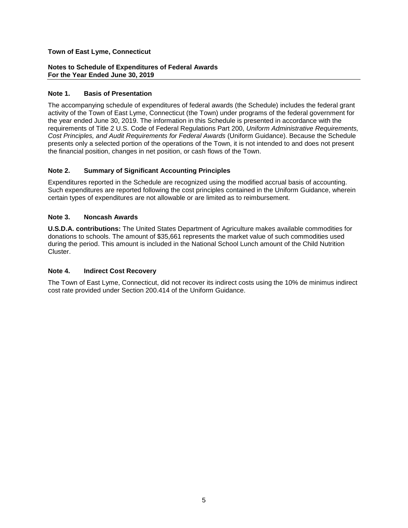#### **Notes to Schedule of Expenditures of Federal Awards For the Year Ended June 30, 2019**

#### **Note 1. Basis of Presentation**

The accompanying schedule of expenditures of federal awards (the Schedule) includes the federal grant activity of the Town of East Lyme, Connecticut (the Town) under programs of the federal government for the year ended June 30, 2019. The information in this Schedule is presented in accordance with the requirements of Title 2 U.S. Code of Federal Regulations Part 200, *Uniform Administrative Requirements, Cost Principles, and Audit Requirements for Federal Awards* (Uniform Guidance). Because the Schedule presents only a selected portion of the operations of the Town, it is not intended to and does not present the financial position, changes in net position, or cash flows of the Town.

#### **Note 2. Summary of Significant Accounting Principles**

Expenditures reported in the Schedule are recognized using the modified accrual basis of accounting. Such expenditures are reported following the cost principles contained in the Uniform Guidance, wherein certain types of expenditures are not allowable or are limited as to reimbursement.

#### **Note 3. Noncash Awards**

**U.S.D.A. contributions:** The United States Department of Agriculture makes available commodities for donations to schools. The amount of \$35,661 represents the market value of such commodities used during the period. This amount is included in the National School Lunch amount of the Child Nutrition Cluster.

#### **Note 4. Indirect Cost Recovery**

The Town of East Lyme, Connecticut, did not recover its indirect costs using the 10% de minimus indirect cost rate provided under Section 200.414 of the Uniform Guidance.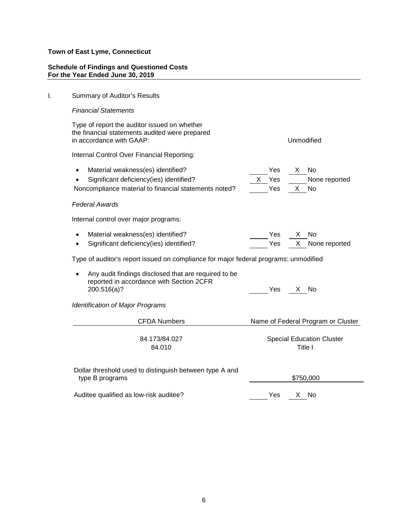## **Schedule of Findings and Questioned Costs For the Year Ended June 30, 2019** I. Summary of Auditor's Results *Financial Statements* Type of report the auditor issued on whether the financial statements audited were prepared in accordance with GAAP: Unmodified Internal Control Over Financial Reporting: • Material weakness(es) identified? The Material weakness of the Material Material Material Material Material Material Material Material Material Material Material Material Material Material Material Material Material Mate • Significant deficiency(ies) identified?  $X$  Yes None reported Noncompliance material to financial statements noted? Yes X No *Federal Awards* Internal control over major programs: Material weakness(es) identified? The Material weakness and identified? Wes X No • Significant deficiency(ies) identified? The Yes X None reported Type of auditor's report issued on compliance for major federal programs: unmodified • Any audit findings disclosed that are required to be reported in accordance with Section 2CFR<br>200.516(a)? Yes X No *Identification of Major Programs* CFDA Numbers Name of Federal Program or Cluster 84.173/84.027 Special Education Cluster 84.010 Title I Dollar threshold used to distinguish between type A and type B programs  $$750,000$ Auditee qualified as low-risk auditee? The Manus of the Yes X No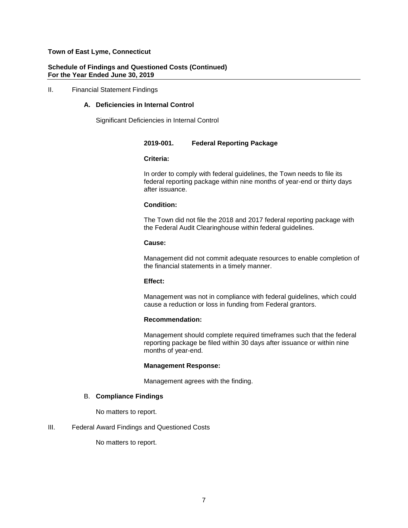#### **Schedule of Findings and Questioned Costs (Continued) For the Year Ended June 30, 2019**

#### II. Financial Statement Findings

#### **A. Deficiencies in Internal Control**

Significant Deficiencies in Internal Control

#### **2019-001. Federal Reporting Package**

#### **Criteria:**

In order to comply with federal guidelines, the Town needs to file its federal reporting package within nine months of year-end or thirty days after issuance.

#### **Condition:**

The Town did not file the 2018 and 2017 federal reporting package with the Federal Audit Clearinghouse within federal guidelines.

#### **Cause:**

Management did not commit adequate resources to enable completion of the financial statements in a timely manner.

#### **Effect:**

Management was not in compliance with federal guidelines, which could cause a reduction or loss in funding from Federal grantors.

#### **Recommendation:**

Management should complete required timeframes such that the federal reporting package be filed within 30 days after issuance or within nine months of year-end.

#### **Management Response:**

Management agrees with the finding.

#### B. **Compliance Findings**

No matters to report.

#### III. Federal Award Findings and Questioned Costs

No matters to report.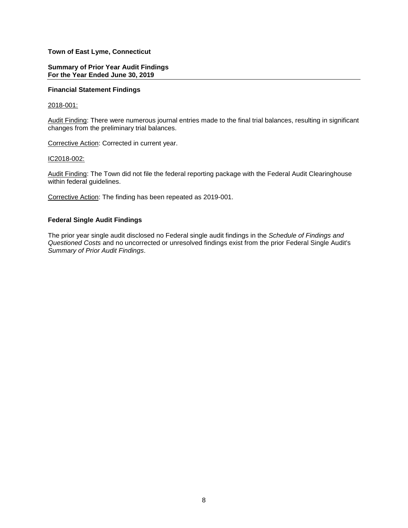#### **Summary of Prior Year Audit Findings For the Year Ended June 30, 2019**

#### **Financial Statement Findings**

#### 2018-001:

Audit Finding: There were numerous journal entries made to the final trial balances, resulting in significant changes from the preliminary trial balances.

Corrective Action: Corrected in current year.

#### IC2018-002:

Audit Finding: The Town did not file the federal reporting package with the Federal Audit Clearinghouse within federal guidelines.

Corrective Action: The finding has been repeated as 2019-001.

#### **Federal Single Audit Findings**

The prior year single audit disclosed no Federal single audit findings in the *Schedule of Findings and Questioned Costs* and no uncorrected or unresolved findings exist from the prior Federal Single Audit's *Summary of Prior Audit Findings*.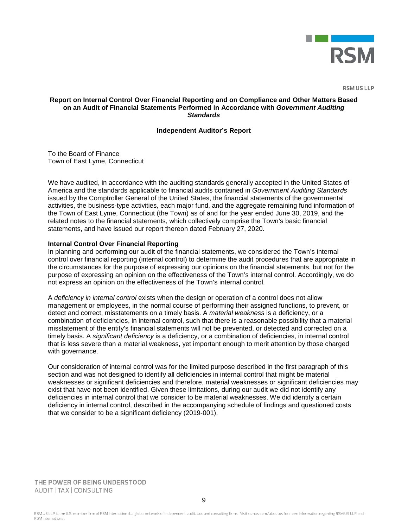

#### **Report on Internal Control Over Financial Reporting and on Compliance and Other Matters Based on an Audit of Financial Statements Performed in Accordance with** *Government Auditing Standards*

#### **Independent Auditor's Report**

To the Board of Finance Town of East Lyme, Connecticut

We have audited, in accordance with the auditing standards generally accepted in the United States of America and the standards applicable to financial audits contained in *Government Auditing Standards* issued by the Comptroller General of the United States, the financial statements of the governmental activities, the business-type activities, each major fund, and the aggregate remaining fund information of the Town of East Lyme, Connecticut (the Town) as of and for the year ended June 30, 2019, and the related notes to the financial statements, which collectively comprise the Town's basic financial statements, and have issued our report thereon dated February 27, 2020.

#### **Internal Control Over Financial Reporting**

In planning and performing our audit of the financial statements, we considered the Town's internal control over financial reporting (internal control) to determine the audit procedures that are appropriate in the circumstances for the purpose of expressing our opinions on the financial statements, but not for the purpose of expressing an opinion on the effectiveness of the Town's internal control. Accordingly, we do not express an opinion on the effectiveness of the Town's internal control.

A *deficiency in internal control* exists when the design or operation of a control does not allow management or employees, in the normal course of performing their assigned functions, to prevent, or detect and correct, misstatements on a timely basis. A *material weakness* is a deficiency, or a combination of deficiencies, in internal control, such that there is a reasonable possibility that a material misstatement of the entity's financial statements will not be prevented, or detected and corrected on a timely basis. A *significant deficiency* is a deficiency, or a combination of deficiencies, in internal control that is less severe than a material weakness, yet important enough to merit attention by those charged with governance.

Our consideration of internal control was for the limited purpose described in the first paragraph of this section and was not designed to identify all deficiencies in internal control that might be material weaknesses or significant deficiencies and therefore, material weaknesses or significant deficiencies may exist that have not been identified. Given these limitations, during our audit we did not identify any deficiencies in internal control that we consider to be material weaknesses. We did identify a certain deficiency in internal control, described in the accompanying schedule of findings and questioned costs that we consider to be a significant deficiency (2019-001).

THE POWER OF BEING UNDERSTOOD AUDIT | TAX | CONSULTING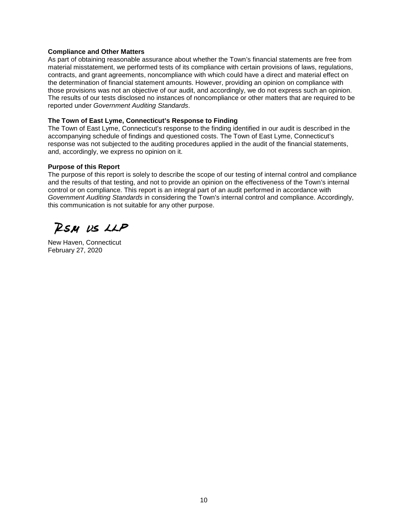#### **Compliance and Other Matters**

As part of obtaining reasonable assurance about whether the Town's financial statements are free from material misstatement, we performed tests of its compliance with certain provisions of laws, regulations, contracts, and grant agreements, noncompliance with which could have a direct and material effect on the determination of financial statement amounts. However, providing an opinion on compliance with those provisions was not an objective of our audit, and accordingly, we do not express such an opinion. The results of our tests disclosed no instances of noncompliance or other matters that are required to be reported under *Government Auditing Standards*.

#### **The Town of East Lyme, Connecticut's Response to Finding**

The Town of East Lyme, Connecticut's response to the finding identified in our audit is described in the accompanying schedule of findings and questioned costs. The Town of East Lyme, Connecticut's response was not subjected to the auditing procedures applied in the audit of the financial statements, and, accordingly, we express no opinion on it.

#### **Purpose of this Report**

The purpose of this report is solely to describe the scope of our testing of internal control and compliance and the results of that testing, and not to provide an opinion on the effectiveness of the Town's internal control or on compliance. This report is an integral part of an audit performed in accordance with *Government Auditing Standards* in considering the Town's internal control and compliance. Accordingly, this communication is not suitable for any other purpose.

**RSM US LLP** 

New Haven, Connecticut February 27, 2020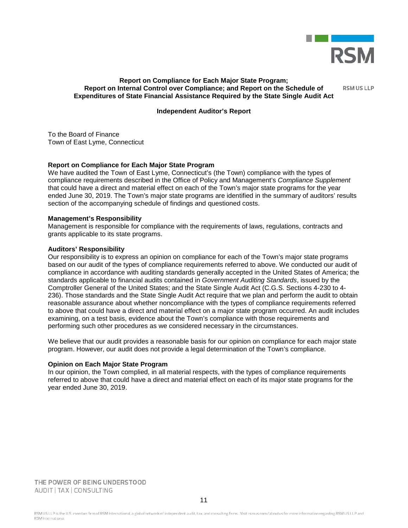

#### **Report on Compliance for Each Major State Program; Report on Internal Control over Compliance; and Report on the Schedule of Expenditures of State Financial Assistance Required by the State Single Audit Act**

**RSM US LLP** 

#### **Independent Auditor's Report**

To the Board of Finance Town of East Lyme, Connecticut

#### **Report on Compliance for Each Major State Program**

We have audited the Town of East Lyme, Connecticut's (the Town) compliance with the types of compliance requirements described in the Office of Policy and Management's *Compliance Supplement*  that could have a direct and material effect on each of the Town's major state programs for the year ended June 30, 2019. The Town's major state programs are identified in the summary of auditors' results section of the accompanying schedule of findings and questioned costs.

#### **Management's Responsibility**

Management is responsible for compliance with the requirements of laws, regulations, contracts and grants applicable to its state programs.

#### **Auditors' Responsibility**

Our responsibility is to express an opinion on compliance for each of the Town's major state programs based on our audit of the types of compliance requirements referred to above. We conducted our audit of compliance in accordance with auditing standards generally accepted in the United States of America; the standards applicable to financial audits contained in *Government Auditing Standards*, issued by the Comptroller General of the United States; and the State Single Audit Act (C.G.S. Sections 4-230 to 4- 236). Those standards and the State Single Audit Act require that we plan and perform the audit to obtain reasonable assurance about whether noncompliance with the types of compliance requirements referred to above that could have a direct and material effect on a major state program occurred. An audit includes examining, on a test basis, evidence about the Town's compliance with those requirements and performing such other procedures as we considered necessary in the circumstances.

We believe that our audit provides a reasonable basis for our opinion on compliance for each major state program. However, our audit does not provide a legal determination of the Town's compliance.

#### **Opinion on Each Major State Program**

In our opinion, the Town complied, in all material respects, with the types of compliance requirements referred to above that could have a direct and material effect on each of its major state programs for the year ended June 30, 2019.

THE POWER OF BEING UNDERSTOOD AUDIT | TAX | CONSULTING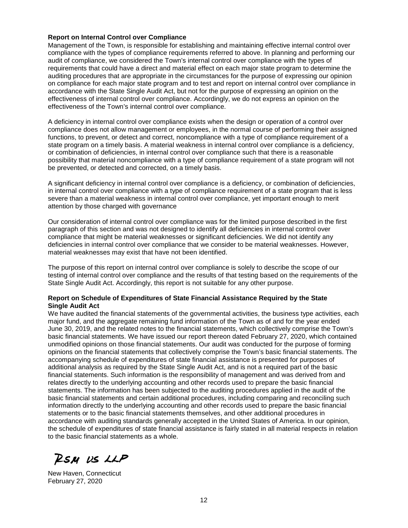#### **Report on Internal Control over Compliance**

Management of the Town, is responsible for establishing and maintaining effective internal control over compliance with the types of compliance requirements referred to above. In planning and performing our audit of compliance, we considered the Town's internal control over compliance with the types of requirements that could have a direct and material effect on each major state program to determine the auditing procedures that are appropriate in the circumstances for the purpose of expressing our opinion on compliance for each major state program and to test and report on internal control over compliance in accordance with the State Single Audit Act, but not for the purpose of expressing an opinion on the effectiveness of internal control over compliance. Accordingly, we do not express an opinion on the effectiveness of the Town's internal control over compliance.

A deficiency in internal control over compliance exists when the design or operation of a control over compliance does not allow management or employees, in the normal course of performing their assigned functions, to prevent, or detect and correct, noncompliance with a type of compliance requirement of a state program on a timely basis. A material weakness in internal control over compliance is a deficiency, or combination of deficiencies, in internal control over compliance such that there is a reasonable possibility that material noncompliance with a type of compliance requirement of a state program will not be prevented, or detected and corrected, on a timely basis.

A significant deficiency in internal control over compliance is a deficiency, or combination of deficiencies, in internal control over compliance with a type of compliance requirement of a state program that is less severe than a material weakness in internal control over compliance, yet important enough to merit attention by those charged with governance

Our consideration of internal control over compliance was for the limited purpose described in the first paragraph of this section and was not designed to identify all deficiencies in internal control over compliance that might be material weaknesses or significant deficiencies. We did not identify any deficiencies in internal control over compliance that we consider to be material weaknesses. However, material weaknesses may exist that have not been identified.

The purpose of this report on internal control over compliance is solely to describe the scope of our testing of internal control over compliance and the results of that testing based on the requirements of the State Single Audit Act. Accordingly, this report is not suitable for any other purpose.

#### **Report on Schedule of Expenditures of State Financial Assistance Required by the State Single Audit Act**

We have audited the financial statements of the governmental activities, the business type activities, each major fund, and the aggregate remaining fund information of the Town as of and for the year ended June 30, 2019, and the related notes to the financial statements, which collectively comprise the Town's basic financial statements. We have issued our report thereon dated February 27, 2020, which contained unmodified opinions on those financial statements. Our audit was conducted for the purpose of forming opinions on the financial statements that collectively comprise the Town's basic financial statements. The accompanying schedule of expenditures of state financial assistance is presented for purposes of additional analysis as required by the State Single Audit Act, and is not a required part of the basic financial statements. Such information is the responsibility of management and was derived from and relates directly to the underlying accounting and other records used to prepare the basic financial statements. The information has been subjected to the auditing procedures applied in the audit of the basic financial statements and certain additional procedures, including comparing and reconciling such information directly to the underlying accounting and other records used to prepare the basic financial statements or to the basic financial statements themselves, and other additional procedures in accordance with auditing standards generally accepted in the United States of America. In our opinion, the schedule of expenditures of state financial assistance is fairly stated in all material respects in relation to the basic financial statements as a whole.

**BSM US LLP** 

New Haven, Connecticut February 27, 2020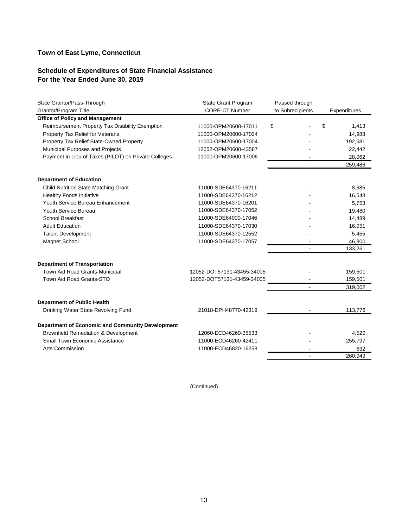## **Schedule of Expenditures of State Financial Assistance For the Year Ended June 30, 2019**

| State Grantor/Pass-Through                           | State Grant Program        | Passed through   |              |         |  |
|------------------------------------------------------|----------------------------|------------------|--------------|---------|--|
| Grantor/Program Title                                | <b>CORE-CT Number</b>      | to Subrecipients | Expenditures |         |  |
| <b>Office of Policy and Management</b>               |                            |                  |              |         |  |
| Reimbursement Property Tax Disability Exemption      | 11000-OPM20600-17011       | \$               | \$           | 1,413   |  |
| Property Tax Relief for Veterans                     | 11000-OPM20600-17024       |                  |              | 14,988  |  |
| Property Tax Relief State-Owned Property             | 11000-OPM20600-17004       |                  |              | 192,581 |  |
| Municipal Purposes and Projects                      | 12052-OPM20600-43587       |                  |              | 22,442  |  |
| Payment in Lieu of Taxes (PILOT) on Private Colleges | 11000-OPM20600-17006       |                  |              | 28,062  |  |
|                                                      |                            |                  |              | 259,486 |  |
| <b>Department of Education</b>                       |                            |                  |              |         |  |
| <b>Child Nutrition State Matching Grant</b>          | 11000-SDE64370-16211       |                  |              | 8,685   |  |
| <b>Healthy Foods Initiative</b>                      | 11000-SDE64370-16212       |                  |              | 16,548  |  |
| Youth Service Bureau Enhancement                     | 11000-SDE64370-16201       |                  |              | 5,753   |  |
| Youth Service Bureau                                 | 11000-SDE64370-17052       |                  |              | 19,480  |  |
| <b>School Breakfast</b>                              | 11000-SDE64000-17046       |                  |              | 14,489  |  |
| <b>Adult Education</b>                               | 11000-SDE64370-17030       |                  |              | 16,051  |  |
| <b>Talent Development</b>                            | 11000-SDE64370-12552       |                  |              | 5,455   |  |
| Magnet School                                        | 11000-SDE64370-17057       |                  |              | 46,800  |  |
|                                                      |                            |                  |              | 133,261 |  |
| <b>Department of Transportation</b>                  |                            |                  |              |         |  |
| Town Aid Road Grants-Municipal                       | 12052-DOT57131-43455-34005 |                  |              | 159,501 |  |
| Town Aid Road Grants-STO                             | 12052-DOT57131-43459-34005 |                  |              | 159,501 |  |
|                                                      |                            |                  |              | 319,002 |  |
|                                                      |                            |                  |              |         |  |
| <b>Department of Public Health</b>                   |                            |                  |              |         |  |
| Drinking Water State Revolving Fund                  | 21018-DPH48770-42319       |                  |              | 113,776 |  |
| Department of Economic and Community Development     |                            |                  |              |         |  |
| <b>Brownfield Remediation &amp; Development</b>      | 12060-ECD46260-35533       |                  |              | 4,520   |  |
| Small Town Economic Assistance                       | 11000-ECD46260-42411       |                  |              | 255,797 |  |
| <b>Arts Commission</b>                               | 11000-ECD46820-16258       |                  |              | 632     |  |
|                                                      |                            |                  |              | 260.949 |  |

(Continued)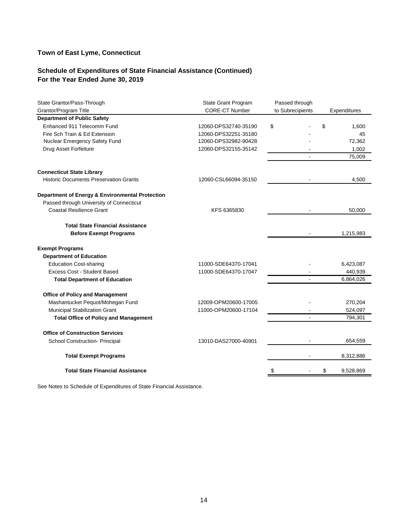## **Schedule of Expenditures of State Financial Assistance (Continued) For the Year Ended June 30, 2019**

| State Grantor/Pass-Through<br>Grantor/Program Title | <b>State Grant Program</b><br><b>CORE-CT Number</b> | Passed through<br>to Subrecipients |                 |  |
|-----------------------------------------------------|-----------------------------------------------------|------------------------------------|-----------------|--|
| <b>Department of Public Safety</b>                  |                                                     |                                    | Expenditures    |  |
| Enhanced 911 Telecomm Fund                          | 12060-DPS32740-35190                                | \$                                 | \$<br>1,600     |  |
| Fire Sch Train & Ed Extension                       | 12060-DPS32251-35180                                |                                    | 45              |  |
| Nuclear Emergency Safety Fund                       | 12060-DPS32982-90428                                |                                    | 72,362          |  |
| Drug Asset Forfeiture                               | 12060-DPS32155-35142                                |                                    | 1,002           |  |
|                                                     |                                                     |                                    | 75,009          |  |
|                                                     |                                                     |                                    |                 |  |
| <b>Connecticut State Library</b>                    |                                                     |                                    |                 |  |
| <b>Historic Documents Preservation Grants</b>       | 12060-CSL66094-35150                                |                                    | 4,500           |  |
| Department of Energy & Environmental Protection     |                                                     |                                    |                 |  |
| Passed through University of Connecticut            |                                                     |                                    |                 |  |
| Coastal Resilience Grant                            | KFS 6365830                                         |                                    | 50,000          |  |
|                                                     |                                                     |                                    |                 |  |
| <b>Total State Financial Assistance</b>             |                                                     |                                    |                 |  |
| <b>Before Exempt Programs</b>                       |                                                     |                                    | 1,215,983       |  |
| <b>Exempt Programs</b>                              |                                                     |                                    |                 |  |
| <b>Department of Education</b>                      |                                                     |                                    |                 |  |
| <b>Education Cost-sharing</b>                       | 11000-SDE64370-17041                                |                                    | 6,423,087       |  |
| Excess Cost - Student Based                         | 11000-SDE64370-17047                                |                                    | 440,939         |  |
| <b>Total Department of Education</b>                |                                                     |                                    | 6,864,026       |  |
| <b>Office of Policy and Management</b>              |                                                     |                                    |                 |  |
| Mashantucket Pequot/Mohegan Fund                    | 12009-OPM20600-17005                                |                                    | 270,204         |  |
| Municipal Stabilization Grant                       | 11000-OPM20600-17104                                |                                    | 524,097         |  |
| <b>Total Office of Policy and Management</b>        |                                                     |                                    | 794,301         |  |
|                                                     |                                                     |                                    |                 |  |
| <b>Office of Construction Services</b>              |                                                     |                                    |                 |  |
| School Construction- Principal                      | 13010-DAS27000-40901                                |                                    | 654,559         |  |
| <b>Total Exempt Programs</b>                        |                                                     |                                    | 8,312,886       |  |
| <b>Total State Financial Assistance</b>             |                                                     | \$                                 | \$<br>9,528,869 |  |

See Notes to Schedule of Expenditures of State Financial Assistance.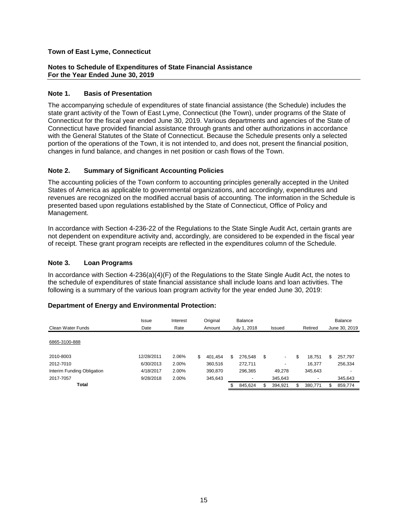#### **Notes to Schedule of Expenditures of State Financial Assistance For the Year Ended June 30, 2019**

#### **Note 1. Basis of Presentation**

The accompanying schedule of expenditures of state financial assistance (the Schedule) includes the state grant activity of the Town of East Lyme, Connecticut (the Town), under programs of the State of Connecticut for the fiscal year ended June 30, 2019. Various departments and agencies of the State of Connecticut have provided financial assistance through grants and other authorizations in accordance with the General Statutes of the State of Connecticut. Because the Schedule presents only a selected portion of the operations of the Town, it is not intended to, and does not, present the financial position, changes in fund balance, and changes in net position or cash flows of the Town.

#### **Note 2. Summary of Significant Accounting Policies**

The accounting policies of the Town conform to accounting principles generally accepted in the United States of America as applicable to governmental organizations, and accordingly, expenditures and revenues are recognized on the modified accrual basis of accounting. The information in the Schedule is presented based upon regulations established by the State of Connecticut, Office of Policy and Management.

In accordance with Section 4-236-22 of the Regulations to the State Single Audit Act, certain grants are not dependent on expenditure activity and, accordingly, are considered to be expended in the fiscal year of receipt. These grant program receipts are reflected in the expenditures column of the Schedule.

#### **Note 3. Loan Programs**

In accordance with Section 4-236(a)(4)(F) of the Regulations to the State Single Audit Act, the notes to the schedule of expenditures of state financial assistance shall include loans and loan activities. The following is a summary of the various loan program activity for the year ended June 30, 2019:

| Department of Energy and Environmental Protection: |
|----------------------------------------------------|
|----------------------------------------------------|

| Clean Water Funds          | <b>Issue</b><br>Date | Interest<br>Rate | Original<br>Amount | Balance<br>July 1, 2018 |      | Issued                   | Retired                  |   | Balance<br>June 30, 2019 |
|----------------------------|----------------------|------------------|--------------------|-------------------------|------|--------------------------|--------------------------|---|--------------------------|
| 6865-3100-888              |                      |                  |                    |                         |      |                          |                          |   |                          |
|                            |                      |                  |                    |                         |      |                          |                          |   |                          |
| 2010-8003                  | 12/28/2011           | 2.06%            | \$<br>401.454      | \$<br>276.548           | - \$ | $\sim$                   | \$<br>18.751             | S | 257.797                  |
| 2012-7010                  | 6/30/2013            | 2.00%            | 360,516            | 272,711                 |      | $\overline{\phantom{0}}$ | 16,377                   |   | 256,334                  |
| Interim Funding Obligation | 4/18/2017            | 2.00%            | 390.870            | 296.365                 |      | 49.278                   | 345,643                  |   | $\blacksquare$           |
| 2017-7057                  | 9/28/2018            | 2.00%            | 345,643            | ۰                       |      | 345.643                  | $\overline{\phantom{0}}$ |   | 345,643                  |
| Total                      |                      |                  |                    | 845.624                 |      | 394.921                  | \$<br>380,771            | S | 859.774                  |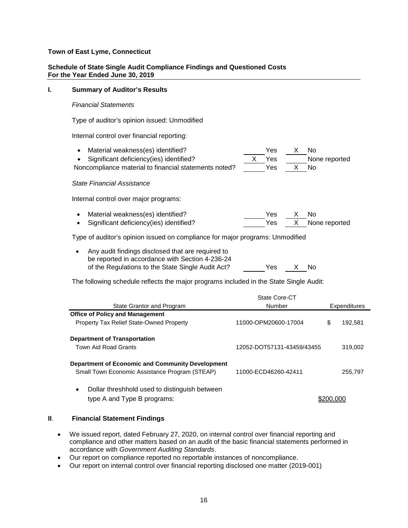#### **Schedule of State Single Audit Compliance Findings and Questioned Costs For the Year Ended June 30, 2019**

#### **I. Summary of Auditor's Results**

#### *Financial Statements*

Type of auditor's opinion issued: Unmodified

Internal control over financial reporting:

| • Material weakness(es) identified?                                             | Yes X No |                                                                                                                |
|---------------------------------------------------------------------------------|----------|----------------------------------------------------------------------------------------------------------------|
| $\Omega$ . The same is the same in $\Omega$ is $\Omega$ is the same in $\Omega$ |          | in March 1979, and the contract in the March 1980 State of the Contract of the Contract of the Contract of the |

• Significant deficiency(ies) identified?  $\frac{X}{X}$  Yes  $\frac{N}{X}$  None reported Noncompliance material to financial statements noted?  $\frac{X}{X}$  Yes  $\frac{X}{X}$  No Noncompliance material to financial statements noted?

#### *State Financial Assistance*

Internal control over major programs:

• Material weakness(es) identified?<br>
• Significant deficiency(ies) identified?<br>
• Significant deficiency(ies) identified?<br>
• Yes X None reported • Significant deficiency(ies) identified?

Type of auditor's opinion issued on compliance for major programs: Unmodified

• Any audit findings disclosed that are required to be reported in accordance with Section 4-236-24 of the Regulations to the State Single Audit Act? Yes X No

The following schedule reflects the major programs included in the State Single Audit:

|                                                             | State Core-CT              |    |                     |
|-------------------------------------------------------------|----------------------------|----|---------------------|
| State Grantor and Program                                   | Number                     |    | <b>Expenditures</b> |
| <b>Office of Policy and Management</b>                      |                            |    |                     |
| <b>Property Tax Relief State-Owned Property</b>             | 11000-OPM20600-17004       | \$ | 192.581             |
| <b>Department of Transportation</b><br>Town Aid Road Grants | 12052-DOT57131-43459/43455 |    | 319.002             |
| <b>Department of Economic and Community Development</b>     |                            |    |                     |
| Small Town Economic Assistance Program (STEAP)              | 11000-ECD46260-42411       |    | 255,797             |
| Dollar threshhold used to distinguish between<br>$\bullet$  |                            |    |                     |
| type A and Type B programs:                                 |                            |    |                     |

#### **II**. **Financial Statement Findings**

- We issued report, dated February 27, 2020, on internal control over financial reporting and compliance and other matters based on an audit of the basic financial statements performed in accordance with *Government Auditing Standards*.
- Our report on compliance reported no reportable instances of noncompliance.
- Our report on internal control over financial reporting disclosed one matter (2019-001)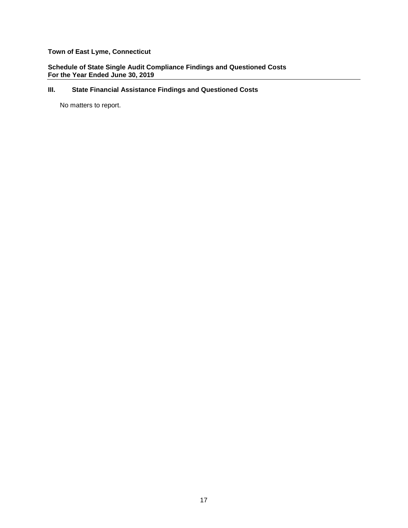**Schedule of State Single Audit Compliance Findings and Questioned Costs For the Year Ended June 30, 2019**

## **III. State Financial Assistance Findings and Questioned Costs**

No matters to report.